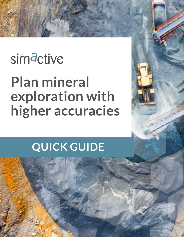# simactive

## **Plan mineral exploration with higher accuracies**

### **QUICK GUIDE**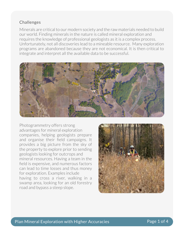#### **Challenges**

Minerals are critical to our modern society and the raw materials needed to build our world. Finding minerals in the nature is called mineral exploration and requires the knowledge of professional geologists as it is a complex process. Unfortunately, not all discoveries lead to a mineable resource. Many exploration programs are abandoned because they are not economical. It is then critical to integrate and interpret all the available data to be successful.



Photogrammetry offers strong advantages for mineral exploration companies, helping geologists prepare and organise their field campaigns. It provides a big picture from the sky of the property to explore prior to sending geologists looking for outcrops and mineral resources. Having a team in the field is expensive, and numerous factors can lead to time losses and thus money for exploration. Examples include having to cross a river, walking in a swamp area, looking for an old forestry road and bypass a steep slope.

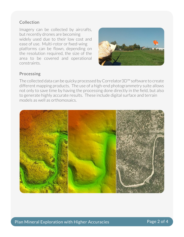#### Collection

Imagery can be collected by aircrafts, but recently drones are becoming widely used due to their low cost and ease of use. Multi-rotor or fixed-wing platforms can be flown, depending on the resolution required, the size of the area to be covered and operational constraints.



#### Processing

The collected data can be quicky processed by Correlator3D™ software to create different mapping products. The use of a high-end photogrammetry suite allows not only to save time by having the processing done directly in the field, but also to generate highly accurate results. These include digital surface and terrain models as well as orthomosaics.

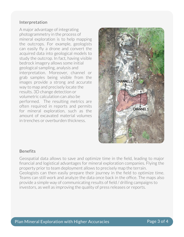#### Interpretation

A major advantage of integrating photogrammetry in the process of mineral exploration is to help mapping the outcrops. For example, geologists can easily fly a drone and convert the acquired data into geological models to study the outcrop. In fact, having visible bedrock imagery allows some initial geological sampling, analysis and interpretation. Moreover, channel or grab samples being visible from the images provide a strong and accurate way to map and precisely locate the results. 3D change detection or volumetric calculation can also be performed. The resulting metrics are often required in reports and permits for mineral exploration, such as the amount of excavated material volumes in trenches or overburden thickness.



#### Benefits

Geospatial data allows to save and optimize time in the field, leading to major financial and logistical advantages for mineral exploration companies. Flying the property prior to team deployment allows to precisely map the terrain. Geologists can then easily prepare their journey in the field to optimize time. Teams can still work and analyze the data once back in the office. The maps also provide a simple way of communicating results of field / drilling campaigns to investors, as well as improving the quality of press releases or reports.